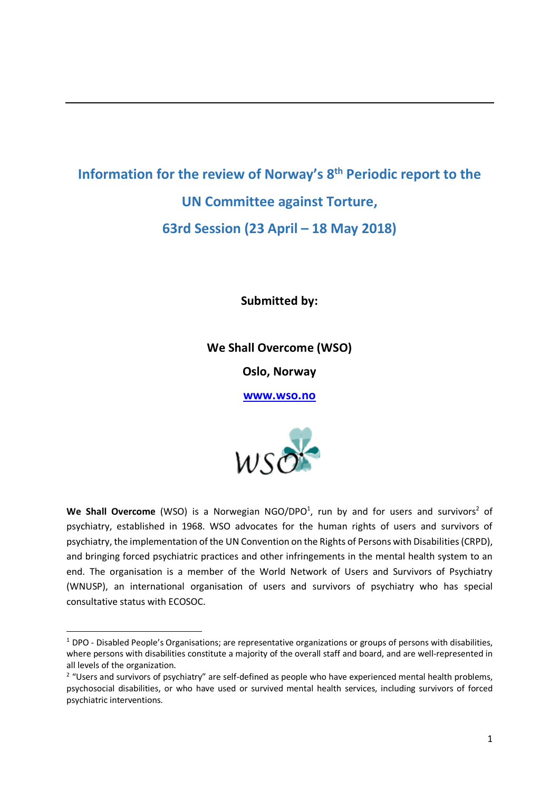# **Information for the review of Norway's 8th Periodic report to the UN Committee against Torture, 63rd Session (23 April – 18 May 2018)**

**Submitted by:**

**We Shall Overcome (WSO)**

**Oslo, Norway**

**www.wso.no**



We Shall Overcome (WSO) is a Norwegian NGO/DPO<sup>1</sup>, run by and for users and survivors<sup>2</sup> of psychiatry, established in 1968. WSO advocates for the human rights of users and survivors of psychiatry, the implementation of the UN Convention on the Rights of Persons with Disabilities (CRPD), and bringing forced psychiatric practices and other infringements in the mental health system to an end. The organisation is a member of the World Network of Users and Survivors of Psychiatry (WNUSP), an international organisation of users and survivors of psychiatry who has special consultative status with ECOSOC.

 $1$  DPO - Disabled People's Organisations; are representative organizations or groups of persons with disabilities, where persons with disabilities constitute a majority of the overall staff and board, and are well-represented in all levels of the organization.

 $2$  "Users and survivors of psychiatry" are self-defined as people who have experienced mental health problems, psychosocial disabilities, or who have used or survived mental health services, including survivors of forced psychiatric interventions.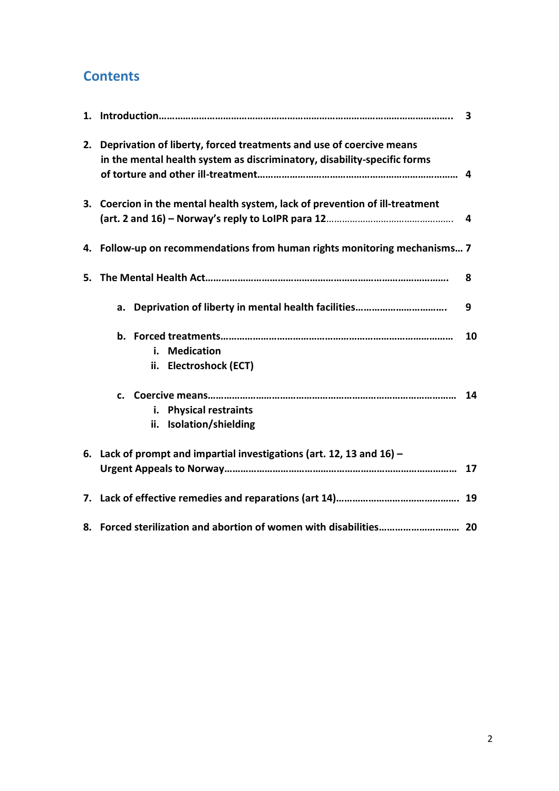## **Contents**

|    |                                                                                                                                                 | 3  |
|----|-------------------------------------------------------------------------------------------------------------------------------------------------|----|
| 2. | Deprivation of liberty, forced treatments and use of coercive means<br>in the mental health system as discriminatory, disability-specific forms |    |
|    | 3. Coercion in the mental health system, lack of prevention of ill-treatment                                                                    | 4  |
|    | 4. Follow-up on recommendations from human rights monitoring mechanisms 7                                                                       |    |
| 5. |                                                                                                                                                 | 8  |
|    |                                                                                                                                                 | 9  |
|    | <b>Medication</b><br>i.<br>Electroshock (ECT)<br>ii.                                                                                            | 10 |
|    | $c_{\cdot}$<br><b>Physical restraints</b><br>i.<br>Isolation/shielding<br>ii.                                                                   | 14 |
|    | 6. Lack of prompt and impartial investigations (art. 12, 13 and $16$ ) –                                                                        | 17 |
|    |                                                                                                                                                 |    |
|    |                                                                                                                                                 |    |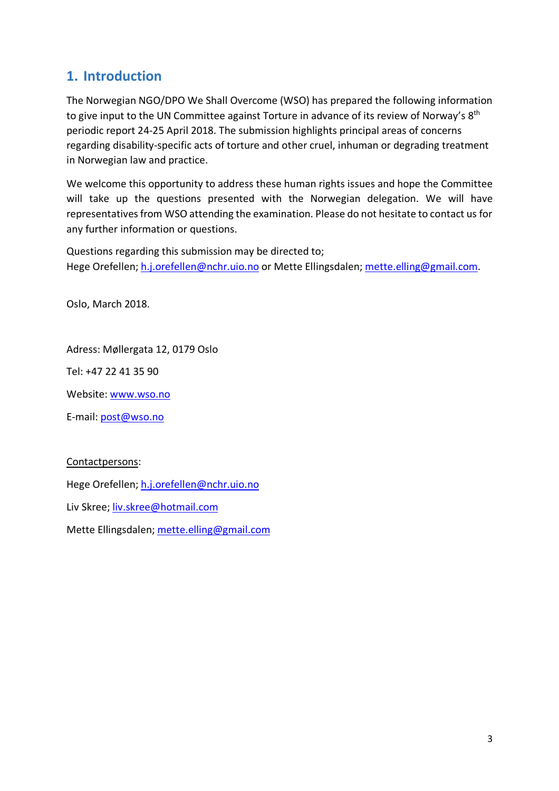### **1. Introduction**

The Norwegian NGO/DPO We Shall Overcome (WSO) has prepared the following information to give input to the UN Committee against Torture in advance of its review of Norway's 8<sup>th</sup> periodic report 24-25 April 2018. The submission highlights principal areas of concerns regarding disability-specific acts of torture and other cruel, inhuman or degrading treatment in Norwegian law and practice.

We welcome this opportunity to address these human rights issues and hope the Committee will take up the questions presented with the Norwegian delegation. We will have representatives from WSO attending the examination. Please do not hesitate to contact us for any further information or questions.

Questions regarding this submission may be directed to; Hege Orefellen; h.j.orefellen@nchr.uio.no or Mette Ellingsdalen; mette.elling@gmail.com.

Oslo, March 2018.

Adress: Møllergata 12, 0179 Oslo

Tel: +47 22 41 35 90

Website: www.wso.no

E-mail: post@wso.no

Contactpersons:

Hege Orefellen; h.j.orefellen@nchr.uio.no

Liv Skree; liv.skree@hotmail.com

Mette Ellingsdalen; mette.elling@gmail.com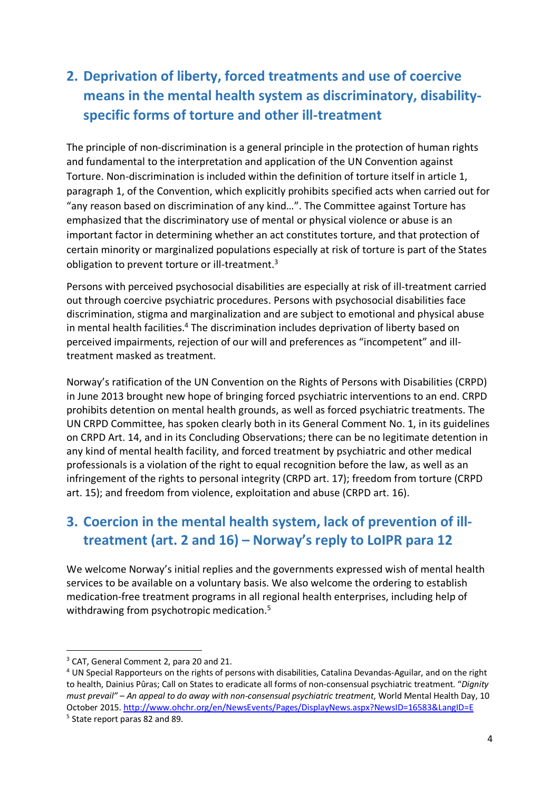# **2. Deprivation of liberty, forced treatments and use of coercive means in the mental health system as discriminatory, disabilityspecific forms of torture and other ill-treatment**

The principle of non-discrimination is a general principle in the protection of human rights and fundamental to the interpretation and application of the UN Convention against Torture. Non-discrimination is included within the definition of torture itself in article 1, paragraph 1, of the Convention, which explicitly prohibits specified acts when carried out for "any reason based on discrimination of any kind…". The Committee against Torture has emphasized that the discriminatory use of mental or physical violence or abuse is an important factor in determining whether an act constitutes torture, and that protection of certain minority or marginalized populations especially at risk of torture is part of the States obligation to prevent torture or ill-treatment.<sup>3</sup>

Persons with perceived psychosocial disabilities are especially at risk of ill-treatment carried out through coercive psychiatric procedures. Persons with psychosocial disabilities face discrimination, stigma and marginalization and are subject to emotional and physical abuse in mental health facilities.<sup>4</sup> The discrimination includes deprivation of liberty based on perceived impairments, rejection of our will and preferences as "incompetent" and illtreatment masked as treatment.

Norway's ratification of the UN Convention on the Rights of Persons with Disabilities (CRPD) in June 2013 brought new hope of bringing forced psychiatric interventions to an end. CRPD prohibits detention on mental health grounds, as well as forced psychiatric treatments. The UN CRPD Committee, has spoken clearly both in its General Comment No. 1, in its guidelines on CRPD Art. 14, and in its Concluding Observations; there can be no legitimate detention in any kind of mental health facility, and forced treatment by psychiatric and other medical professionals is a violation of the right to equal recognition before the law, as well as an infringement of the rights to personal integrity (CRPD art. 17); freedom from torture (CRPD art. 15); and freedom from violence, exploitation and abuse (CRPD art. 16).

# **3. Coercion in the mental health system, lack of prevention of illtreatment (art. 2 and 16) – Norway's reply to LoIPR para 12**

We welcome Norway's initial replies and the governments expressed wish of mental health services to be available on a voluntary basis. We also welcome the ordering to establish medication-free treatment programs in all regional health enterprises, including help of withdrawing from psychotropic medication.<sup>5</sup>

<sup>&</sup>lt;sup>3</sup> CAT, General Comment 2, para 20 and 21.

<sup>4</sup> UN Special Rapporteurs on the rights of persons with disabilities, Catalina Devandas-Aguilar, and on the right to health, Dainius Pûras; Call on States to eradicate all forms of non-consensual psychiatric treatment. "*Dignity must prevail" – An appeal to do away with non-consensual psychiatric treatment*, World Mental Health Day, 10 October 2015. http://www.ohchr.org/en/NewsEvents/Pages/DisplayNews.aspx?NewsID=16583&LangID=E <sup>5</sup> State report paras 82 and 89.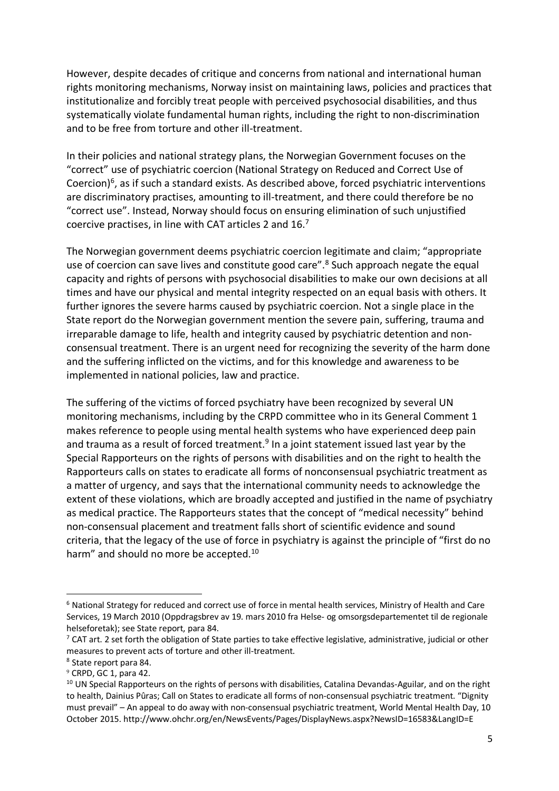However, despite decades of critique and concerns from national and international human rights monitoring mechanisms, Norway insist on maintaining laws, policies and practices that institutionalize and forcibly treat people with perceived psychosocial disabilities, and thus systematically violate fundamental human rights, including the right to non-discrimination and to be free from torture and other ill-treatment.

In their policies and national strategy plans, the Norwegian Government focuses on the "correct" use of psychiatric coercion (National Strategy on Reduced and Correct Use of Coercion) $6$ , as if such a standard exists. As described above, forced psychiatric interventions are discriminatory practises, amounting to ill-treatment, and there could therefore be no "correct use". Instead, Norway should focus on ensuring elimination of such unjustified coercive practises, in line with CAT articles 2 and  $16<sup>7</sup>$ 

The Norwegian government deems psychiatric coercion legitimate and claim; "appropriate use of coercion can save lives and constitute good care".<sup>8</sup> Such approach negate the equal capacity and rights of persons with psychosocial disabilities to make our own decisions at all times and have our physical and mental integrity respected on an equal basis with others. It further ignores the severe harms caused by psychiatric coercion. Not a single place in the State report do the Norwegian government mention the severe pain, suffering, trauma and irreparable damage to life, health and integrity caused by psychiatric detention and nonconsensual treatment. There is an urgent need for recognizing the severity of the harm done and the suffering inflicted on the victims, and for this knowledge and awareness to be implemented in national policies, law and practice.

The suffering of the victims of forced psychiatry have been recognized by several UN monitoring mechanisms, including by the CRPD committee who in its General Comment 1 makes reference to people using mental health systems who have experienced deep pain and trauma as a result of forced treatment.<sup>9</sup> In a joint statement issued last year by the Special Rapporteurs on the rights of persons with disabilities and on the right to health the Rapporteurs calls on states to eradicate all forms of nonconsensual psychiatric treatment as a matter of urgency, and says that the international community needs to acknowledge the extent of these violations, which are broadly accepted and justified in the name of psychiatry as medical practice. The Rapporteurs states that the concept of "medical necessity" behind non-consensual placement and treatment falls short of scientific evidence and sound criteria, that the legacy of the use of force in psychiatry is against the principle of "first do no harm" and should no more be accepted.<sup>10</sup>

 <sup>6</sup> National Strategy for reduced and correct use of force in mental health services, Ministry of Health and Care Services, 19 March 2010 (Oppdragsbrev av 19. mars 2010 fra Helse- og omsorgsdepartementet til de regionale helseforetak); see State report, para 84.

 $7$  CAT art. 2 set forth the obligation of State parties to take effective legislative, administrative, judicial or other measures to prevent acts of torture and other ill-treatment.

<sup>8</sup> State report para 84.

 $9$  CRPD, GC 1, para 42.

 $10$  UN Special Rapporteurs on the rights of persons with disabilities, Catalina Devandas-Aguilar, and on the right to health, Dainius Pûras; Call on States to eradicate all forms of non-consensual psychiatric treatment. "Dignity must prevail" – An appeal to do away with non-consensual psychiatric treatment, World Mental Health Day, 10 October 2015. http://www.ohchr.org/en/NewsEvents/Pages/DisplayNews.aspx?NewsID=16583&LangID=E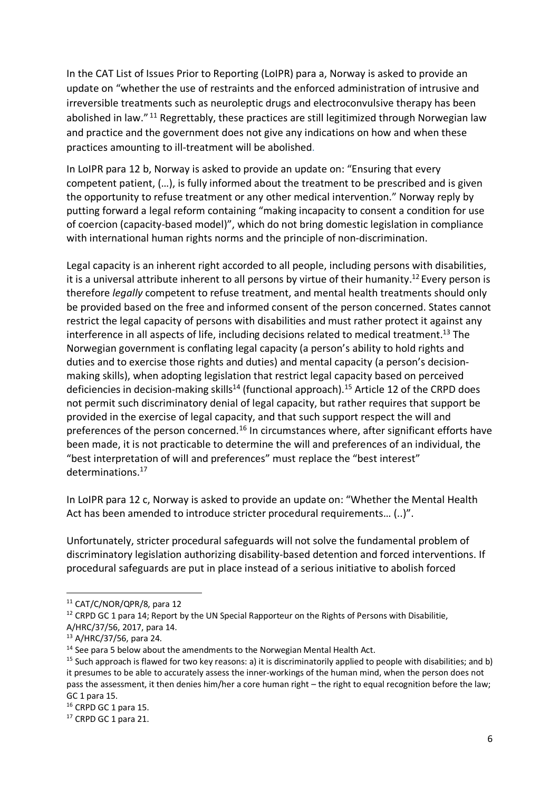In the CAT List of Issues Prior to Reporting (LoIPR) para a, Norway is asked to provide an update on "whether the use of restraints and the enforced administration of intrusive and irreversible treatments such as neuroleptic drugs and electroconvulsive therapy has been abolished in law."<sup>11</sup> Regrettably, these practices are still legitimized through Norwegian law and practice and the government does not give any indications on how and when these practices amounting to ill-treatment will be abolished.

In LoIPR para 12 b, Norway is asked to provide an update on: "Ensuring that every competent patient, (…), is fully informed about the treatment to be prescribed and is given the opportunity to refuse treatment or any other medical intervention." Norway reply by putting forward a legal reform containing "making incapacity to consent a condition for use of coercion (capacity-based model)", which do not bring domestic legislation in compliance with international human rights norms and the principle of non-discrimination.

Legal capacity is an inherent right accorded to all people, including persons with disabilities, it is a universal attribute inherent to all persons by virtue of their humanity.<sup>12</sup> Every person is therefore *legally* competent to refuse treatment, and mental health treatments should only be provided based on the free and informed consent of the person concerned. States cannot restrict the legal capacity of persons with disabilities and must rather protect it against any interference in all aspects of life, including decisions related to medical treatment.<sup>13</sup> The Norwegian government is conflating legal capacity (a person's ability to hold rights and duties and to exercise those rights and duties) and mental capacity (a person's decisionmaking skills), when adopting legislation that restrict legal capacity based on perceived deficiencies in decision-making skills<sup>14</sup> (functional approach).<sup>15</sup> Article 12 of the CRPD does not permit such discriminatory denial of legal capacity, but rather requires that support be provided in the exercise of legal capacity, and that such support respect the will and preferences of the person concerned.<sup>16</sup> In circumstances where, after significant efforts have been made, it is not practicable to determine the will and preferences of an individual, the "best interpretation of will and preferences" must replace the "best interest" determinations.17

In LoIPR para 12 c, Norway is asked to provide an update on: "Whether the Mental Health Act has been amended to introduce stricter procedural requirements… (..)".

Unfortunately, stricter procedural safeguards will not solve the fundamental problem of discriminatory legislation authorizing disability-based detention and forced interventions. If procedural safeguards are put in place instead of a serious initiative to abolish forced

<sup>&</sup>lt;sup>11</sup> CAT/C/NOR/OPR/8, para 12

<sup>&</sup>lt;sup>12</sup> CRPD GC 1 para 14; Report by the UN Special Rapporteur on the Rights of Persons with Disabilitie,

A/HRC/37/56, 2017, para 14.

<sup>13</sup> A/HRC/37/56, para 24.

 $14$  See para 5 below about the amendments to the Norwegian Mental Health Act.

 $15$  Such approach is flawed for two key reasons: a) it is discriminatorily applied to people with disabilities; and b) it presumes to be able to accurately assess the inner-workings of the human mind, when the person does not pass the assessment, it then denies him/her a core human right – the right to equal recognition before the law; GC 1 para 15.

<sup>&</sup>lt;sup>16</sup> CRPD GC 1 para 15.

<sup>&</sup>lt;sup>17</sup> CRPD GC 1 para 21.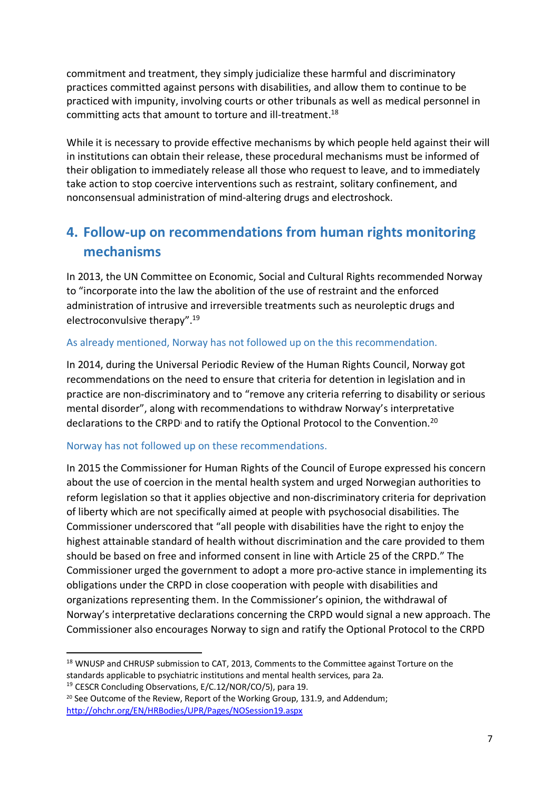commitment and treatment, they simply judicialize these harmful and discriminatory practices committed against persons with disabilities, and allow them to continue to be practiced with impunity, involving courts or other tribunals as well as medical personnel in committing acts that amount to torture and ill-treatment.18

While it is necessary to provide effective mechanisms by which people held against their will in institutions can obtain their release, these procedural mechanisms must be informed of their obligation to immediately release all those who request to leave, and to immediately take action to stop coercive interventions such as restraint, solitary confinement, and nonconsensual administration of mind-altering drugs and electroshock.

# **4. Follow-up on recommendations from human rights monitoring mechanisms**

In 2013, the UN Committee on Economic, Social and Cultural Rights recommended Norway to "incorporate into the law the abolition of the use of restraint and the enforced administration of intrusive and irreversible treatments such as neuroleptic drugs and electroconvulsive therapy".19

#### As already mentioned, Norway has not followed up on the this recommendation.

In 2014, during the Universal Periodic Review of the Human Rights Council, Norway got recommendations on the need to ensure that criteria for detention in legislation and in practice are non-discriminatory and to "remove any criteria referring to disability or serious mental disorder", along with recommendations to withdraw Norway's interpretative declarations to the CRPD<sup>i</sup> and to ratify the Optional Protocol to the Convention.<sup>20</sup>

#### Norway has not followed up on these recommendations.

In 2015 the Commissioner for Human Rights of the Council of Europe expressed his concern about the use of coercion in the mental health system and urged Norwegian authorities to reform legislation so that it applies objective and non-discriminatory criteria for deprivation of liberty which are not specifically aimed at people with psychosocial disabilities. The Commissioner underscored that "all people with disabilities have the right to enjoy the highest attainable standard of health without discrimination and the care provided to them should be based on free and informed consent in line with Article 25 of the CRPD." The Commissioner urged the government to adopt a more pro-active stance in implementing its obligations under the CRPD in close cooperation with people with disabilities and organizations representing them. In the Commissioner's opinion, the withdrawal of Norway's interpretative declarations concerning the CRPD would signal a new approach. The Commissioner also encourages Norway to sign and ratify the Optional Protocol to the CRPD

<sup>&</sup>lt;sup>18</sup> WNUSP and CHRUSP submission to CAT, 2013, Comments to the Committee against Torture on the standards applicable to psychiatric institutions and mental health services, para 2a. <sup>19</sup> CESCR Concluding Observations, E/C.12/NOR/CO/5), para 19.

<sup>&</sup>lt;sup>20</sup> See Outcome of the Review, Report of the Working Group, 131.9, and Addendum; http://ohchr.org/EN/HRBodies/UPR/Pages/NOSession19.aspx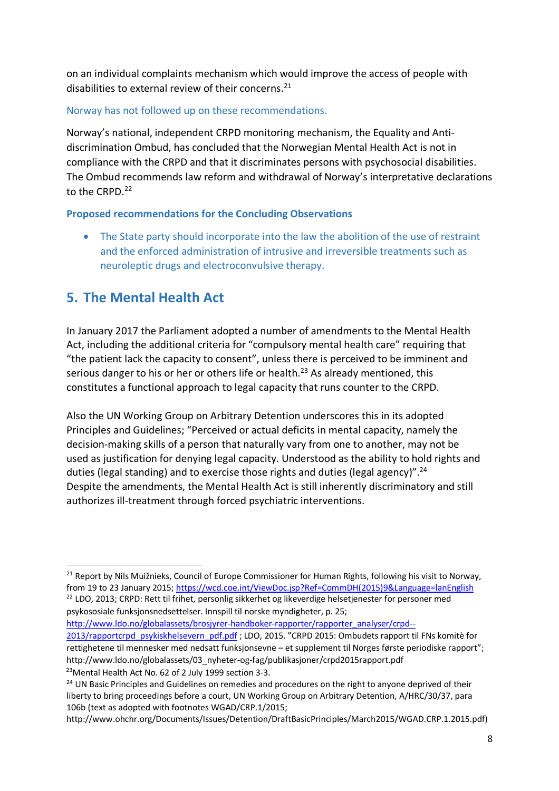on an individual complaints mechanism which would improve the access of people with disabilities to external review of their concerns.<sup>21</sup>

#### Norway has not followed up on these recommendations.

Norway's national, independent CRPD monitoring mechanism, the Equality and Antidiscrimination Ombud, has concluded that the Norwegian Mental Health Act is not in compliance with the CRPD and that it discriminates persons with psychosocial disabilities. The Ombud recommends law reform and withdrawal of Norway's interpretative declarations to the CRPD.<sup>22</sup>

#### **Proposed recommendations for the Concluding Observations**

• The State party should incorporate into the law the abolition of the use of restraint and the enforced administration of intrusive and irreversible treatments such as neuroleptic drugs and electroconvulsive therapy.

## **5. The Mental Health Act**

In January 2017 the Parliament adopted a number of amendments to the Mental Health Act, including the additional criteria for "compulsory mental health care" requiring that "the patient lack the capacity to consent", unless there is perceived to be imminent and serious danger to his or her or others life or health.<sup>23</sup> As already mentioned, this constitutes a functional approach to legal capacity that runs counter to the CRPD.

Also the UN Working Group on Arbitrary Detention underscores this in its adopted Principles and Guidelines; "Perceived or actual deficits in mental capacity, namely the decision-making skills of a person that naturally vary from one to another, may not be used as justification for denying legal capacity. Understood as the ability to hold rights and duties (legal standing) and to exercise those rights and duties (legal agency)".24 Despite the amendments, the Mental Health Act is still inherently discriminatory and still authorizes ill-treatment through forced psychiatric interventions.

<sup>22</sup> LDO, 2013; CRPD: Rett til frihet, personlig sikkerhet og likeverdige helsetjenester for personer med psykososiale funksjonsnedsettelser. Innspill til norske myndigheter, p. 25;

http://www.ldo.no/globalassets/brosjyrer-handboker-rapporter/rapporter\_analyser/crpd-- 2013/rapportcrpd\_psykiskhelsevern\_pdf.pdf ; LDO, 2015. "CRPD 2015: Ombudets rapport til FNs komitè for rettighetene til mennesker med nedsatt funksjonsevne – et supplement til Norges første periodiske rapport"; http://www.ldo.no/globalassets/03\_nyheter-og-fag/publikasjoner/crpd2015rapport.pdf 23Mental Health Act No. 62 of 2 July 1999 section 3-3.

http://www.ohchr.org/Documents/Issues/Detention/DraftBasicPrinciples/March2015/WGAD.CRP.1.2015.pdf)

<sup>&</sup>lt;sup>21</sup> Report by Nils Muižnieks, Council of Europe Commissioner for Human Rights, following his visit to Norway, from 19 to 23 January 2015; https://wcd.coe.int/ViewDoc.jsp?Ref=CommDH(2015)9&Language=lanEnglish

<sup>&</sup>lt;sup>24</sup> UN Basic Principles and Guidelines on remedies and procedures on the right to anyone deprived of their liberty to bring proceedings before a court, UN Working Group on Arbitrary Detention, A/HRC/30/37, para 106b (text as adopted with footnotes WGAD/CRP.1/2015;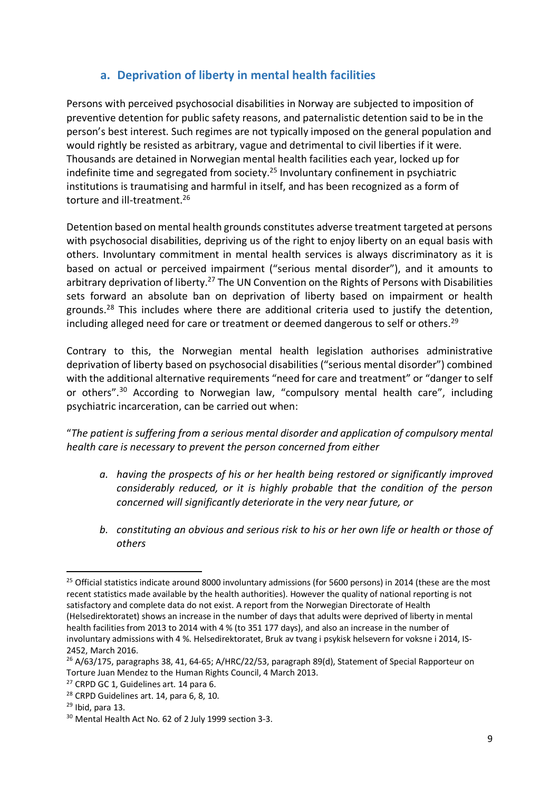### **a. Deprivation of liberty in mental health facilities**

Persons with perceived psychosocial disabilities in Norway are subjected to imposition of preventive detention for public safety reasons, and paternalistic detention said to be in the person's best interest. Such regimes are not typically imposed on the general population and would rightly be resisted as arbitrary, vague and detrimental to civil liberties if it were. Thousands are detained in Norwegian mental health facilities each year, locked up for indefinite time and segregated from society. <sup>25</sup> Involuntary confinement in psychiatric institutions is traumatising and harmful in itself, and has been recognized as a form of torture and ill-treatment.26

Detention based on mental health grounds constitutes adverse treatment targeted at persons with psychosocial disabilities, depriving us of the right to enjoy liberty on an equal basis with others. Involuntary commitment in mental health services is always discriminatory as it is based on actual or perceived impairment ("serious mental disorder"), and it amounts to arbitrary deprivation of liberty.<sup>27</sup> The UN Convention on the Rights of Persons with Disabilities sets forward an absolute ban on deprivation of liberty based on impairment or health grounds.<sup>28</sup> This includes where there are additional criteria used to justify the detention, including alleged need for care or treatment or deemed dangerous to self or others.<sup>29</sup>

Contrary to this, the Norwegian mental health legislation authorises administrative deprivation of liberty based on psychosocial disabilities ("serious mental disorder") combined with the additional alternative requirements "need for care and treatment" or "danger to self or others".30 According to Norwegian law, "compulsory mental health care", including psychiatric incarceration, can be carried out when:

"*The patient is suffering from a serious mental disorder and application of compulsory mental health care is necessary to prevent the person concerned from either* 

- *a. having the prospects of his or her health being restored or significantly improved considerably reduced, or it is highly probable that the condition of the person concerned will significantly deteriorate in the very near future, or*
- *b. constituting an obvious and serious risk to his or her own life or health or those of others*

<sup>&</sup>lt;sup>25</sup> Official statistics indicate around 8000 involuntary admissions (for 5600 persons) in 2014 (these are the most recent statistics made available by the health authorities). However the quality of national reporting is not satisfactory and complete data do not exist. A report from the Norwegian Directorate of Health (Helsedirektoratet) shows an increase in the number of days that adults were deprived of liberty in mental health facilities from 2013 to 2014 with 4 % (to 351 177 days), and also an increase in the number of involuntary admissions with 4 %. Helsedirektoratet, Bruk av tvang i psykisk helsevern for voksne i 2014, IS-2452, March 2016.

 $^{26}$  A/63/175, paragraphs 38, 41, 64-65; A/HRC/22/53, paragraph 89(d), Statement of Special Rapporteur on Torture Juan Mendez to the Human Rights Council, 4 March 2013.

<sup>&</sup>lt;sup>27</sup> CRPD GC 1, Guidelines art. 14 para 6.

<sup>&</sup>lt;sup>28</sup> CRPD Guidelines art. 14, para 6, 8, 10.

 $29$  Ibid, para 13.

<sup>30</sup> Mental Health Act No. 62 of 2 July 1999 section 3-3.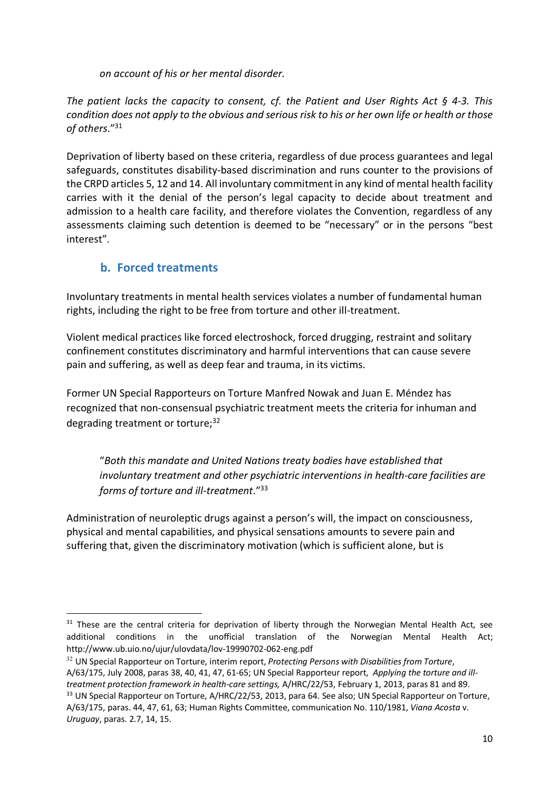*on account of his or her mental disorder*.

*The patient lacks the capacity to consent, cf. the Patient and User Rights Act § 4-3. This condition does not apply to the obvious and serious risk to his or her own life or health or those of others*."31

Deprivation of liberty based on these criteria, regardless of due process guarantees and legal safeguards, constitutes disability-based discrimination and runs counter to the provisions of the CRPD articles 5, 12 and 14. All involuntary commitment in any kind of mental health facility carries with it the denial of the person's legal capacity to decide about treatment and admission to a health care facility, and therefore violates the Convention, regardless of any assessments claiming such detention is deemed to be "necessary" or in the persons "best interest".

### **b. Forced treatments**

Involuntary treatments in mental health services violates a number of fundamental human rights, including the right to be free from torture and other ill-treatment.

Violent medical practices like forced electroshock, forced drugging, restraint and solitary confinement constitutes discriminatory and harmful interventions that can cause severe pain and suffering, as well as deep fear and trauma, in its victims.

Former UN Special Rapporteurs on Torture Manfred Nowak and Juan E. Méndez has recognized that non-consensual psychiatric treatment meets the criteria for inhuman and degrading treatment or torture;<sup>32</sup>

"*Both this mandate and United Nations treaty bodies have established that involuntary treatment and other psychiatric interventions in health-care facilities are forms of torture and ill-treatment*."33

Administration of neuroleptic drugs against a person's will, the impact on consciousness, physical and mental capabilities, and physical sensations amounts to severe pain and suffering that, given the discriminatory motivation (which is sufficient alone, but is

<sup>&</sup>lt;sup>31</sup> These are the central criteria for deprivation of liberty through the Norwegian Mental Health Act, see additional conditions in the unofficial translation of the Norwegian Mental Health Act; http://www.ub.uio.no/ujur/ulovdata/lov-19990702-062-eng.pdf

<sup>32</sup> UN Special Rapporteur on Torture, interim report, *Protecting Persons with Disabilities from Torture*, A/63/175, July 2008, paras 38, 40, 41, 47, 61-65; UN Special Rapporteur report, *Applying the torture and illtreatment protection framework in health-care settings,* A/HRC/22/53, February 1, 2013, paras 81 and 89. <sup>33</sup> UN Special Rapporteur on Torture, A/HRC/22/53, 2013, para 64. See also; UN Special Rapporteur on Torture, A/63/175, paras. 44, 47, 61, 63; Human Rights Committee, communication No. 110/1981, *Viana Acosta* v.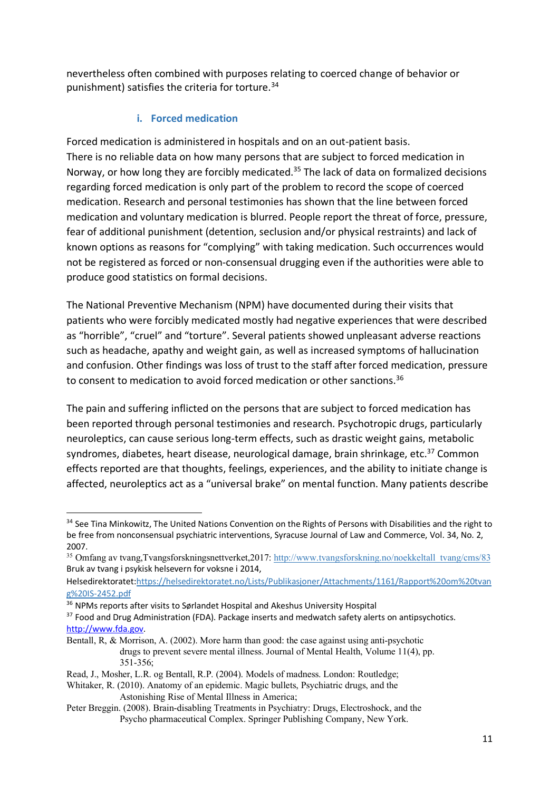nevertheless often combined with purposes relating to coerced change of behavior or punishment) satisfies the criteria for torture.<sup>34</sup>

### **i. Forced medication**

Forced medication is administered in hospitals and on an out-patient basis. There is no reliable data on how many persons that are subject to forced medication in Norway, or how long they are forcibly medicated.<sup>35</sup> The lack of data on formalized decisions regarding forced medication is only part of the problem to record the scope of coerced medication. Research and personal testimonies has shown that the line between forced medication and voluntary medication is blurred. People report the threat of force, pressure, fear of additional punishment (detention, seclusion and/or physical restraints) and lack of known options as reasons for "complying" with taking medication. Such occurrences would not be registered as forced or non-consensual drugging even if the authorities were able to produce good statistics on formal decisions.

The National Preventive Mechanism (NPM) have documented during their visits that patients who were forcibly medicated mostly had negative experiences that were described as "horrible", "cruel" and "torture". Several patients showed unpleasant adverse reactions such as headache, apathy and weight gain, as well as increased symptoms of hallucination and confusion. Other findings was loss of trust to the staff after forced medication, pressure to consent to medication to avoid forced medication or other sanctions.<sup>36</sup>

The pain and suffering inflicted on the persons that are subject to forced medication has been reported through personal testimonies and research. Psychotropic drugs, particularly neuroleptics, can cause serious long-term effects, such as drastic weight gains, metabolic syndromes, diabetes, heart disease, neurological damage, brain shrinkage, etc.<sup>37</sup> Common effects reported are that thoughts, feelings, experiences, and the ability to initiate change is affected, neuroleptics act as a "universal brake" on mental function. Many patients describe

<sup>&</sup>lt;sup>34</sup> See Tina Minkowitz, The United Nations Convention on the Rights of Persons with Disabilities and the right to be free from nonconsensual psychiatric interventions, Syracuse Journal of Law and Commerce, Vol. 34, No. 2, 2007.

<sup>35</sup> Omfang av tvang,Tvangsforskningsnettverket,2017: http://www.tvangsforskning.no/noekkeltall\_tvang/cms/83 Bruk av tvang i psykisk helsevern for voksne i 2014,

Helsedirektoratet:https://helsedirektoratet.no/Lists/Publikasjoner/Attachments/1161/Rapport%20om%20tvan g%20IS-2452.pdf

<sup>&</sup>lt;sup>36</sup> NPMs reports after visits to Sørlandet Hospital and Akeshus University Hospital

<sup>&</sup>lt;sup>37</sup> Food and Drug Administration (FDA). Package inserts and medwatch safety alerts on antipsychotics. http://www.fda.gov.

Bentall, R, & Morrison, A. (2002). More harm than good: the case against using anti-psychotic drugs to prevent severe mental illness. Journal of Mental Health, Volume 11(4), pp. 351-356;

Read, J., Mosher, L.R. og Bentall, R.P. (2004). Models of madness. London: Routledge;

Whitaker, R. (2010). Anatomy of an epidemic. Magic bullets, Psychiatric drugs, and the Astonishing Rise of Mental Illness in America;

Peter Breggin. (2008). Brain-disabling Treatments in Psychiatry: Drugs, Electroshock, and the Psycho pharmaceutical Complex. Springer Publishing Company, New York.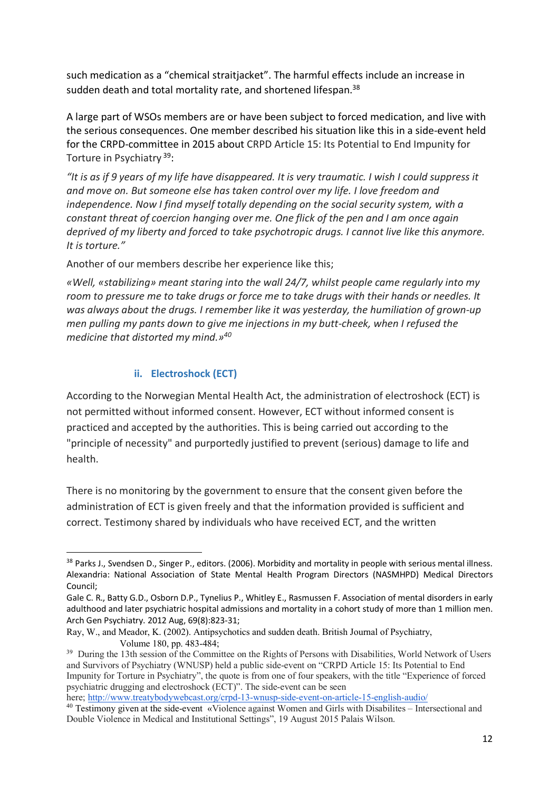such medication as a "chemical straitjacket". The harmful effects include an increase in sudden death and total mortality rate, and shortened lifespan.<sup>38</sup>

A large part of WSOs members are or have been subject to forced medication, and live with the serious consequences. One member described his situation like this in a side-event held for the CRPD-committee in 2015 about CRPD Article 15: Its Potential to End Impunity for Torture in Psychiatry 39:

*"It is as if 9 years of my life have disappeared. It is very traumatic. I wish I could suppress it and move on. But someone else has taken control over my life. I love freedom and independence. Now I find myself totally depending on the social security system, with a constant threat of coercion hanging over me. One flick of the pen and I am once again deprived of my liberty and forced to take psychotropic drugs. I cannot live like this anymore. It is torture."* 

Another of our members describe her experience like this;

*«Well, «stabilizing» meant staring into the wall 24/7, whilst people came regularly into my room to pressure me to take drugs or force me to take drugs with their hands or needles. It was always about the drugs. I remember like it was yesterday, the humiliation of grown-up men pulling my pants down to give me injections in my butt-cheek, when I refused the medicine that distorted my mind.»40*

#### **ii. Electroshock (ECT)**

According to the Norwegian Mental Health Act, the administration of electroshock (ECT) is not permitted without informed consent. However, ECT without informed consent is practiced and accepted by the authorities. This is being carried out according to the "principle of necessity" and purportedly justified to prevent (serious) damage to life and health.

There is no monitoring by the government to ensure that the consent given before the administration of ECT is given freely and that the information provided is sufficient and correct. Testimony shared by individuals who have received ECT, and the written

<sup>&</sup>lt;sup>38</sup> Parks J., Svendsen D., Singer P., editors. (2006). Morbidity and mortality in people with serious mental illness. Alexandria: National Association of State Mental Health Program Directors (NASMHPD) Medical Directors Council;

Gale C. R., Batty G.D., Osborn D.P., Tynelius P., Whitley E., Rasmussen F. Association of mental disorders in early adulthood and later psychiatric hospital admissions and mortality in a cohort study of more than 1 million men. Arch Gen Psychiatry. 2012 Aug, 69(8):823-31;

Ray, W., and Meador, K. (2002). Antipsychotics and sudden death. British Journal of Psychiatry, Volume 180, pp. 483-484;<br><sup>39</sup> During the 13th session of the Committee on the Rights of Persons with Disabilities. World Network of Users

and Survivors of Psychiatry (WNUSP) held a public side-event on "CRPD Article 15: Its Potential to End Impunity for Torture in Psychiatry", the quote is from one of four speakers, with the title "Experience of forced psychiatric drugging and electroshock (ECT)". The side-event can be seen

here; http://www.treatybodywebcast.org/crpd-13-wnusp-side-event-on-article-15-english-audio/

<sup>40</sup> Testimony given at the side-event «Violence against Women and Girls with Disabilites – Intersectional and Double Violence in Medical and Institutional Settings", 19 August 2015 Palais Wilson.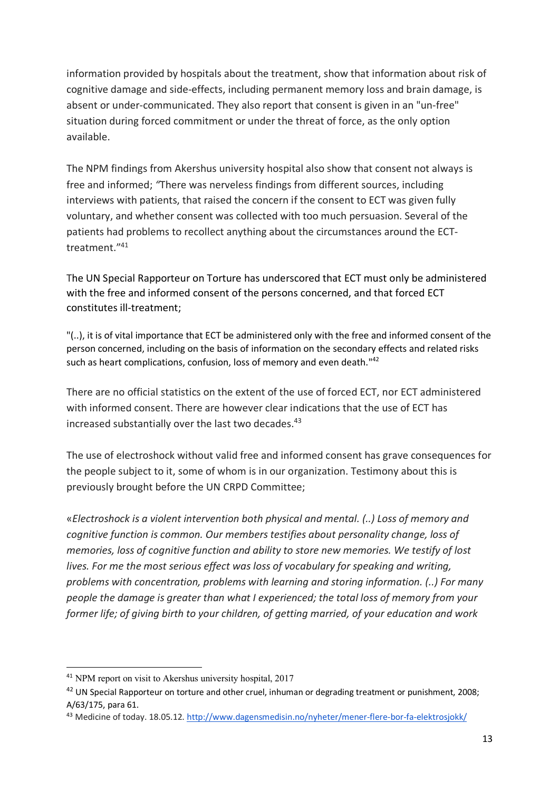information provided by hospitals about the treatment, show that information about risk of cognitive damage and side-effects, including permanent memory loss and brain damage, is absent or under-communicated. They also report that consent is given in an "un-free" situation during forced commitment or under the threat of force, as the only option available.

The NPM findings from Akershus university hospital also show that consent not always is free and informed; *"*There was nerveless findings from different sources, including interviews with patients, that raised the concern if the consent to ECT was given fully voluntary, and whether consent was collected with too much persuasion. Several of the patients had problems to recollect anything about the circumstances around the ECTtreatment."41

The UN Special Rapporteur on Torture has underscored that ECT must only be administered with the free and informed consent of the persons concerned, and that forced ECT constitutes ill-treatment;

"(..), it is of vital importance that ECT be administered only with the free and informed consent of the person concerned, including on the basis of information on the secondary effects and related risks such as heart complications, confusion, loss of memory and even death."<sup>42</sup>

There are no official statistics on the extent of the use of forced ECT, nor ECT administered with informed consent. There are however clear indications that the use of ECT has increased substantially over the last two decades. 43

The use of electroshock without valid free and informed consent has grave consequences for the people subject to it, some of whom is in our organization. Testimony about this is previously brought before the UN CRPD Committee;

«*Electroshock is a violent intervention both physical and mental. (..) Loss of memory and cognitive function is common. Our members testifies about personality change, loss of memories, loss of cognitive function and ability to store new memories. We testify of lost lives. For me the most serious effect was loss of vocabulary for speaking and writing, problems with concentration, problems with learning and storing information. (..) For many people the damage is greater than what I experienced; the total loss of memory from your former life; of giving birth to your children, of getting married, of your education and work* 

 <sup>41</sup> NPM report on visit to Akershus university hospital, 2017

<sup>&</sup>lt;sup>42</sup> UN Special Rapporteur on torture and other cruel, inhuman or degrading treatment or punishment, 2008; A/63/175, para 61.

<sup>43</sup> Medicine of today. 18.05.12. http://www.dagensmedisin.no/nyheter/mener-flere-bor-fa-elektrosjokk/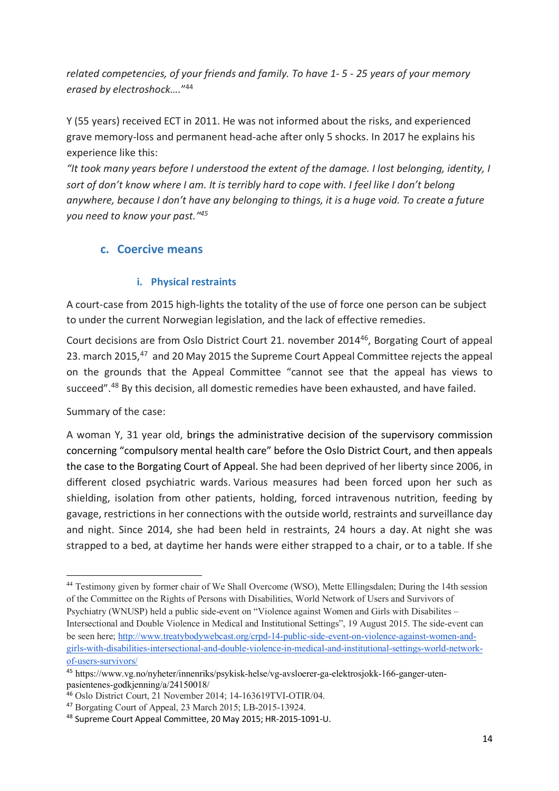*related competencies, of your friends and family. To have 1- 5 - 25 years of your memory erased by electroshock….*"44

Y (55 years) received ECT in 2011. He was not informed about the risks, and experienced grave memory-loss and permanent head-ache after only 5 shocks. In 2017 he explains his experience like this:

*"It took many years before I understood the extent of the damage. I lost belonging, identity, I sort of don't know where I am. It is terribly hard to cope with. I feel like I don't belong anywhere, because I don't have any belonging to things, it is a huge void. To create a future you need to know your past."45*

### **c. Coercive means**

### **i. Physical restraints**

A court-case from 2015 high-lights the totality of the use of force one person can be subject to under the current Norwegian legislation, and the lack of effective remedies.

Court decisions are from Oslo District Court 21. november 201446, Borgating Court of appeal 23. march 2015,<sup>47</sup> and 20 May 2015 the Supreme Court Appeal Committee rejects the appeal on the grounds that the Appeal Committee "cannot see that the appeal has views to succeed".<sup>48</sup> By this decision, all domestic remedies have been exhausted, and have failed.

Summary of the case:

A woman Y, 31 year old, brings the administrative decision of the supervisory commission concerning "compulsory mental health care" before the Oslo District Court, and then appeals the case to the Borgating Court of Appeal. She had been deprived of her liberty since 2006, in different closed psychiatric wards. Various measures had been forced upon her such as shielding, isolation from other patients, holding, forced intravenous nutrition, feeding by gavage, restrictions in her connections with the outside world, restraints and surveillance day and night. Since 2014, she had been held in restraints, 24 hours a day. At night she was strapped to a bed, at daytime her hands were either strapped to a chair, or to a table. If she

l <sup>44</sup> Testimony given by former chair of We Shall Overcome (WSO), Mette Ellingsdalen; During the 14th session of the Committee on the Rights of Persons with Disabilities, World Network of Users and Survivors of Psychiatry (WNUSP) held a public side-event on "Violence against Women and Girls with Disabilites – Intersectional and Double Violence in Medical and Institutional Settings", 19 August 2015. The side-event can be seen here; http://www.treatybodywebcast.org/crpd-14-public-side-event-on-violence-against-women-andgirls-with-disabilities-intersectional-and-double-violence-in-medical-and-institutional-settings-world-networkof-users-survivors/

<sup>45</sup> https://www.vg.no/nyheter/innenriks/psykisk-helse/vg-avsloerer-ga-elektrosjokk-166-ganger-utenpasientenes-godkjenning/a/24150018/

<sup>46</sup> Oslo District Court, 21 November 2014; 14-163619TVI-OTIR/04.

<sup>47</sup> Borgating Court of Appeal, 23 March 2015; LB-2015-13924.

<sup>48</sup> Supreme Court Appeal Committee, 20 May 2015; HR-2015-1091-U.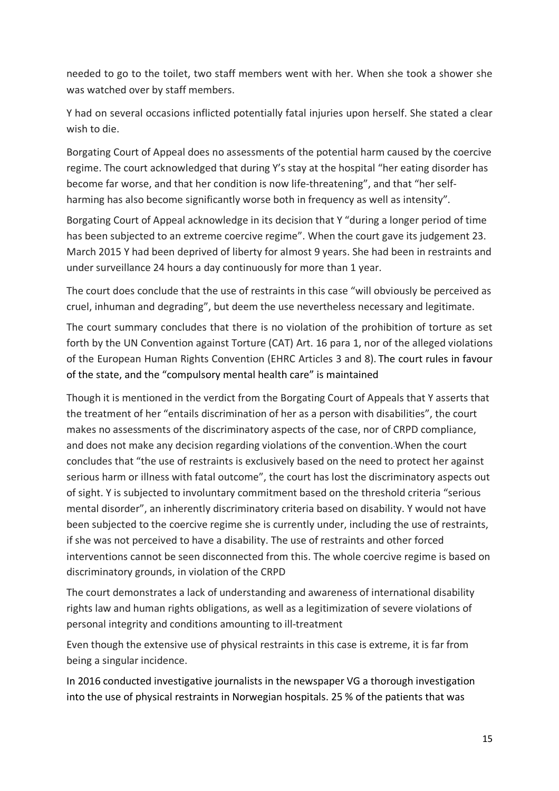needed to go to the toilet, two staff members went with her. When she took a shower she was watched over by staff members.

Y had on several occasions inflicted potentially fatal injuries upon herself. She stated a clear wish to die.

Borgating Court of Appeal does no assessments of the potential harm caused by the coercive regime. The court acknowledged that during Y's stay at the hospital "her eating disorder has become far worse, and that her condition is now life-threatening", and that "her selfharming has also become significantly worse both in frequency as well as intensity".

Borgating Court of Appeal acknowledge in its decision that Y "during a longer period of time has been subjected to an extreme coercive regime". When the court gave its judgement 23. March 2015 Y had been deprived of liberty for almost 9 years. She had been in restraints and under surveillance 24 hours a day continuously for more than 1 year.

The court does conclude that the use of restraints in this case "will obviously be perceived as cruel, inhuman and degrading", but deem the use nevertheless necessary and legitimate.

The court summary concludes that there is no violation of the prohibition of torture as set forth by the UN Convention against Torture (CAT) Art. 16 para 1, nor of the alleged violations of the European Human Rights Convention (EHRC Articles 3 and 8). The court rules in favour of the state, and the "compulsory mental health care" is maintained

Though it is mentioned in the verdict from the Borgating Court of Appeals that Y asserts that the treatment of her "entails discrimination of her as a person with disabilities", the court makes no assessments of the discriminatory aspects of the case, nor of CRPD compliance, and does not make any decision regarding violations of the convention.When the court concludes that "the use of restraints is exclusively based on the need to protect her against serious harm or illness with fatal outcome", the court has lost the discriminatory aspects out of sight. Y is subjected to involuntary commitment based on the threshold criteria "serious mental disorder", an inherently discriminatory criteria based on disability. Y would not have been subjected to the coercive regime she is currently under, including the use of restraints, if she was not perceived to have a disability. The use of restraints and other forced interventions cannot be seen disconnected from this. The whole coercive regime is based on discriminatory grounds, in violation of the CRPD

The court demonstrates a lack of understanding and awareness of international disability rights law and human rights obligations, as well as a legitimization of severe violations of personal integrity and conditions amounting to ill-treatment

Even though the extensive use of physical restraints in this case is extreme, it is far from being a singular incidence.

In 2016 conducted investigative journalists in the newspaper VG a thorough investigation into the use of physical restraints in Norwegian hospitals. 25 % of the patients that was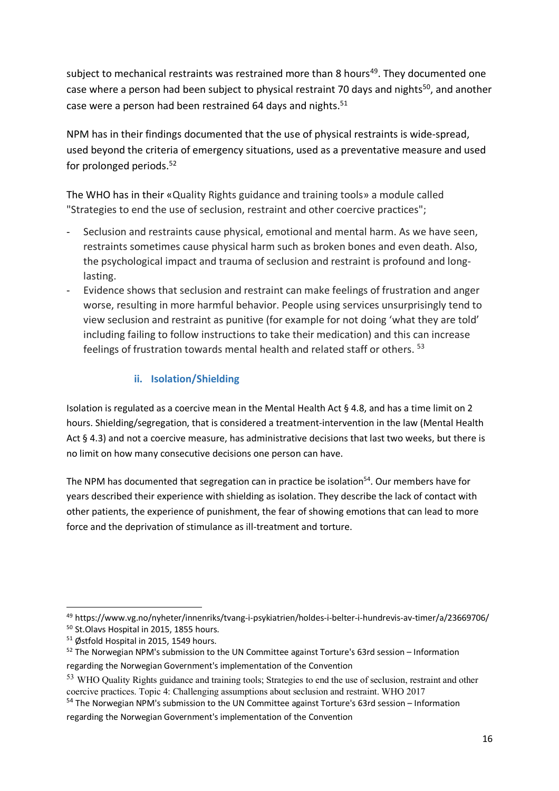subject to mechanical restraints was restrained more than 8 hours<sup>49</sup>. They documented one case where a person had been subject to physical restraint 70 days and nights<sup>50</sup>, and another case were a person had been restrained 64 days and nights.<sup>51</sup>

NPM has in their findings documented that the use of physical restraints is wide-spread, used beyond the criteria of emergency situations, used as a preventative measure and used for prolonged periods. 52

The WHO has in their «Quality Rights guidance and training tools» a module called "Strategies to end the use of seclusion, restraint and other coercive practices";

- Seclusion and restraints cause physical, emotional and mental harm. As we have seen, restraints sometimes cause physical harm such as broken bones and even death. Also, the psychological impact and trauma of seclusion and restraint is profound and longlasting.
- Evidence shows that seclusion and restraint can make feelings of frustration and anger worse, resulting in more harmful behavior. People using services unsurprisingly tend to view seclusion and restraint as punitive (for example for not doing 'what they are told' including failing to follow instructions to take their medication) and this can increase feelings of frustration towards mental health and related staff or others. <sup>53</sup>

### **ii. Isolation/Shielding**

Isolation is regulated as a coercive mean in the Mental Health Act § 4.8, and has a time limit on 2 hours. Shielding/segregation, that is considered a treatment-intervention in the law (Mental Health Act § 4.3) and not a coercive measure, has administrative decisions that last two weeks, but there is no limit on how many consecutive decisions one person can have.

The NPM has documented that segregation can in practice be isolation<sup>54</sup>. Our members have for years described their experience with shielding as isolation. They describe the lack of contact with other patients, the experience of punishment, the fear of showing emotions that can lead to more force and the deprivation of stimulance as ill-treatment and torture.

 <sup>49</sup> https://www.vg.no/nyheter/innenriks/tvang-i-psykiatrien/holdes-i-belter-i-hundrevis-av-timer/a/23669706/ <sup>50</sup> St.Olavs Hospital in 2015, 1855 hours.

<sup>&</sup>lt;sup>51</sup> Østfold Hospital in 2015, 1549 hours.

 $52$  The Norwegian NPM's submission to the UN Committee against Torture's 63rd session – Information regarding the Norwegian Government's implementation of the Convention

<sup>53</sup> WHO Quality Rights guidance and training tools; Strategies to end the use of seclusion, restraint and other coercive practices. Topic 4: Challenging assumptions about seclusion and restraint. WHO 2017

<sup>&</sup>lt;sup>54</sup> The Norwegian NPM's submission to the UN Committee against Torture's 63rd session – Information regarding the Norwegian Government's implementation of the Convention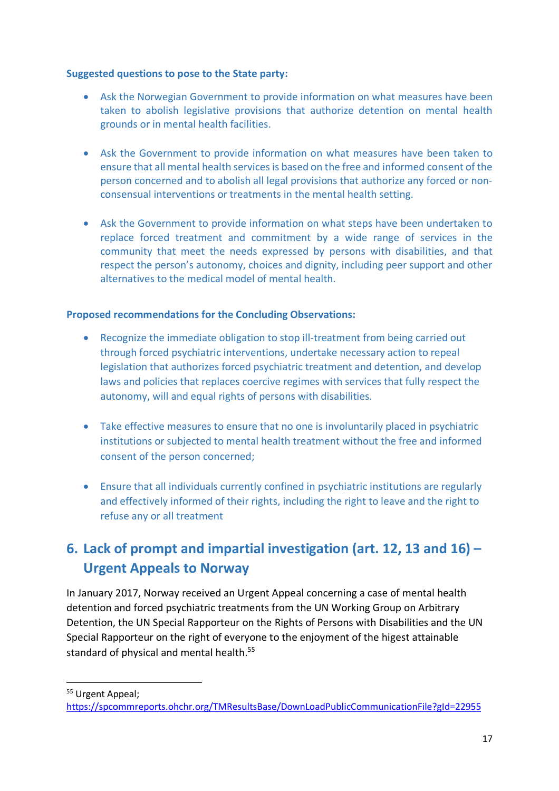#### **Suggested questions to pose to the State party:**

- Ask the Norwegian Government to provide information on what measures have been taken to abolish legislative provisions that authorize detention on mental health grounds or in mental health facilities.
- Ask the Government to provide information on what measures have been taken to ensure that all mental health services is based on the free and informed consent of the person concerned and to abolish all legal provisions that authorize any forced or nonconsensual interventions or treatments in the mental health setting.
- Ask the Government to provide information on what steps have been undertaken to replace forced treatment and commitment by a wide range of services in the community that meet the needs expressed by persons with disabilities, and that respect the person's autonomy, choices and dignity, including peer support and other alternatives to the medical model of mental health.

#### **Proposed recommendations for the Concluding Observations:**

- Recognize the immediate obligation to stop ill-treatment from being carried out through forced psychiatric interventions, undertake necessary action to repeal legislation that authorizes forced psychiatric treatment and detention, and develop laws and policies that replaces coercive regimes with services that fully respect the autonomy, will and equal rights of persons with disabilities.
- Take effective measures to ensure that no one is involuntarily placed in psychiatric institutions or subjected to mental health treatment without the free and informed consent of the person concerned;
- Ensure that all individuals currently confined in psychiatric institutions are regularly and effectively informed of their rights, including the right to leave and the right to refuse any or all treatment

# **6. Lack of prompt and impartial investigation (art. 12, 13 and 16) – Urgent Appeals to Norway**

In January 2017, Norway received an Urgent Appeal concerning a case of mental health detention and forced psychiatric treatments from the UN Working Group on Arbitrary Detention, the UN Special Rapporteur on the Rights of Persons with Disabilities and the UN Special Rapporteur on the right of everyone to the enjoyment of the higest attainable standard of physical and mental health.<sup>55</sup>

<sup>55</sup> Urgent Appeal:

https://spcommreports.ohchr.org/TMResultsBase/DownLoadPublicCommunicationFile?gId=22955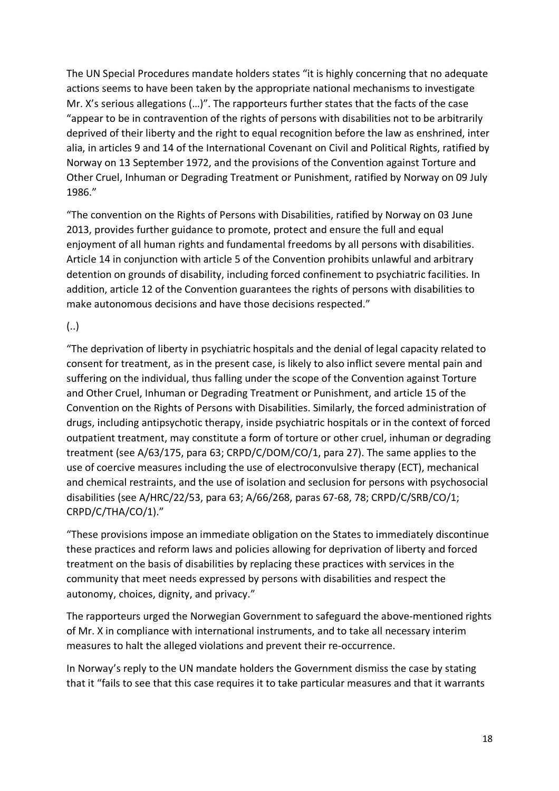The UN Special Procedures mandate holders states "it is highly concerning that no adequate actions seems to have been taken by the appropriate national mechanisms to investigate Mr. X's serious allegations (…)". The rapporteurs further states that the facts of the case "appear to be in contravention of the rights of persons with disabilities not to be arbitrarily deprived of their liberty and the right to equal recognition before the law as enshrined, inter alia, in articles 9 and 14 of the International Covenant on Civil and Political Rights, ratified by Norway on 13 September 1972, and the provisions of the Convention against Torture and Other Cruel, Inhuman or Degrading Treatment or Punishment, ratified by Norway on 09 July 1986."

"The convention on the Rights of Persons with Disabilities, ratified by Norway on 03 June 2013, provides further guidance to promote, protect and ensure the full and equal enjoyment of all human rights and fundamental freedoms by all persons with disabilities. Article 14 in conjunction with article 5 of the Convention prohibits unlawful and arbitrary detention on grounds of disability, including forced confinement to psychiatric facilities. In addition, article 12 of the Convention guarantees the rights of persons with disabilities to make autonomous decisions and have those decisions respected."

(..)

"The deprivation of liberty in psychiatric hospitals and the denial of legal capacity related to consent for treatment, as in the present case, is likely to also inflict severe mental pain and suffering on the individual, thus falling under the scope of the Convention against Torture and Other Cruel, Inhuman or Degrading Treatment or Punishment, and article 15 of the Convention on the Rights of Persons with Disabilities. Similarly, the forced administration of drugs, including antipsychotic therapy, inside psychiatric hospitals or in the context of forced outpatient treatment, may constitute a form of torture or other cruel, inhuman or degrading treatment (see A/63/175, para 63; CRPD/C/DOM/CO/1, para 27). The same applies to the use of coercive measures including the use of electroconvulsive therapy (ECT), mechanical and chemical restraints, and the use of isolation and seclusion for persons with psychosocial disabilities (see A/HRC/22/53, para 63; A/66/268, paras 67-68, 78; CRPD/C/SRB/CO/1; CRPD/C/THA/CO/1)."

"These provisions impose an immediate obligation on the States to immediately discontinue these practices and reform laws and policies allowing for deprivation of liberty and forced treatment on the basis of disabilities by replacing these practices with services in the community that meet needs expressed by persons with disabilities and respect the autonomy, choices, dignity, and privacy."

The rapporteurs urged the Norwegian Government to safeguard the above-mentioned rights of Mr. X in compliance with international instruments, and to take all necessary interim measures to halt the alleged violations and prevent their re-occurrence.

In Norway's reply to the UN mandate holders the Government dismiss the case by stating that it "fails to see that this case requires it to take particular measures and that it warrants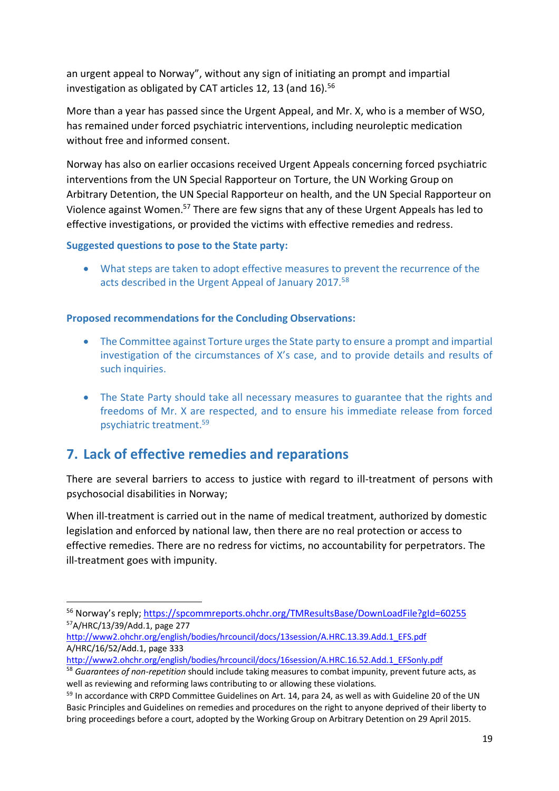an urgent appeal to Norway", without any sign of initiating an prompt and impartial investigation as obligated by CAT articles 12, 13 (and  $16$ ).<sup>56</sup>

More than a year has passed since the Urgent Appeal, and Mr. X, who is a member of WSO, has remained under forced psychiatric interventions, including neuroleptic medication without free and informed consent.

Norway has also on earlier occasions received Urgent Appeals concerning forced psychiatric interventions from the UN Special Rapporteur on Torture, the UN Working Group on Arbitrary Detention, the UN Special Rapporteur on health, and the UN Special Rapporteur on Violence against Women.<sup>57</sup> There are few signs that any of these Urgent Appeals has led to effective investigations, or provided the victims with effective remedies and redress.

#### **Suggested questions to pose to the State party:**

• What steps are taken to adopt effective measures to prevent the recurrence of the acts described in the Urgent Appeal of January 2017. 58

#### **Proposed recommendations for the Concluding Observations:**

- The Committee against Torture urges the State party to ensure a prompt and impartial investigation of the circumstances of X's case, and to provide details and results of such inquiries.
- The State Party should take all necessary measures to guarantee that the rights and freedoms of Mr. X are respected, and to ensure his immediate release from forced psychiatric treatment.59

### **7. Lack of effective remedies and reparations**

There are several barriers to access to justice with regard to ill-treatment of persons with psychosocial disabilities in Norway;

When ill-treatment is carried out in the name of medical treatment, authorized by domestic legislation and enforced by national law, then there are no real protection or access to effective remedies. There are no redress for victims, no accountability for perpetrators. The ill-treatment goes with impunity.

 <sup>56</sup> Norway's reply; https://spcommreports.ohchr.org/TMResultsBase/DownLoadFile?gId=60255 57A/HRC/13/39/Add.1, page 277

http://www2.ohchr.org/english/bodies/hrcouncil/docs/13session/A.HRC.13.39.Add.1\_EFS.pdf A/HRC/16/52/Add.1, page 333

http://www2.ohchr.org/english/bodies/hrcouncil/docs/16session/A.HRC.16.52.Add.1\_EFSonly.pdf

<sup>58</sup> *Guarantees of non-repetition* should include taking measures to combat impunity, prevent future acts, as well as reviewing and reforming laws contributing to or allowing these violations.<br><sup>59</sup> In accordance with CRPD Committee Guidelines on Art. 14, para 24, as well as with Guideline 20 of the UN

Basic Principles and Guidelines on remedies and procedures on the right to anyone deprived of their liberty to bring proceedings before a court, adopted by the Working Group on Arbitrary Detention on 29 April 2015.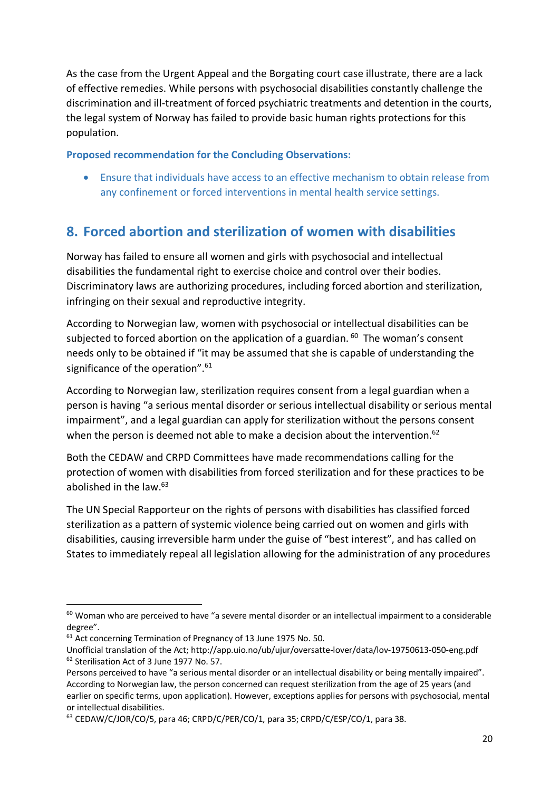As the case from the Urgent Appeal and the Borgating court case illustrate, there are a lack of effective remedies. While persons with psychosocial disabilities constantly challenge the discrimination and ill-treatment of forced psychiatric treatments and detention in the courts, the legal system of Norway has failed to provide basic human rights protections for this population.

#### **Proposed recommendation for the Concluding Observations:**

• Ensure that individuals have access to an effective mechanism to obtain release from any confinement or forced interventions in mental health service settings.

# **8. Forced abortion and sterilization of women with disabilities**

Norway has failed to ensure all women and girls with psychosocial and intellectual disabilities the fundamental right to exercise choice and control over their bodies. Discriminatory laws are authorizing procedures, including forced abortion and sterilization, infringing on their sexual and reproductive integrity.

According to Norwegian law, women with psychosocial or intellectual disabilities can be subjected to forced abortion on the application of a guardian.  $60$  The woman's consent needs only to be obtained if "it may be assumed that she is capable of understanding the significance of the operation".<sup>61</sup>

According to Norwegian law, sterilization requires consent from a legal guardian when a person is having "a serious mental disorder or serious intellectual disability or serious mental impairment", and a legal guardian can apply for sterilization without the persons consent when the person is deemed not able to make a decision about the intervention.<sup>62</sup>

Both the CEDAW and CRPD Committees have made recommendations calling for the protection of women with disabilities from forced sterilization and for these practices to be abolished in the law.63

The UN Special Rapporteur on the rights of persons with disabilities has classified forced sterilization as a pattern of systemic violence being carried out on women and girls with disabilities, causing irreversible harm under the guise of "best interest", and has called on States to immediately repeal all legislation allowing for the administration of any procedures

<sup>&</sup>lt;sup>60</sup> Woman who are perceived to have "a severe mental disorder or an intellectual impairment to a considerable degree".

<sup>&</sup>lt;sup>61</sup> Act concerning Termination of Pregnancy of 13 June 1975 No. 50.

Unofficial translation of the Act; http://app.uio.no/ub/ujur/oversatte-lover/data/lov-19750613-050-eng.pdf <sup>62</sup> Sterilisation Act of 3 June 1977 No. 57.

Persons perceived to have "a serious mental disorder or an intellectual disability or being mentally impaired". According to Norwegian law, the person concerned can request sterilization from the age of 25 years (and earlier on specific terms, upon application). However, exceptions applies for persons with psychosocial, mental or intellectual disabilities.

<sup>&</sup>lt;sup>63</sup> CEDAW/C/JOR/CO/5, para 46; CRPD/C/PER/CO/1, para 35; CRPD/C/ESP/CO/1, para 38.